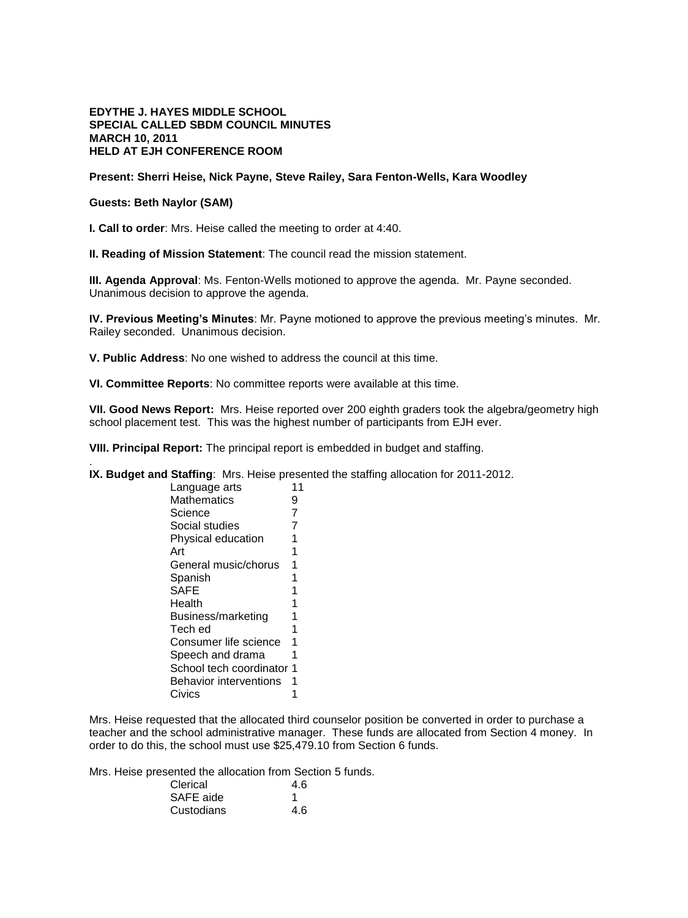## **EDYTHE J. HAYES MIDDLE SCHOOL SPECIAL CALLED SBDM COUNCIL MINUTES MARCH 10, 2011 HELD AT EJH CONFERENCE ROOM**

### **Present: Sherri Heise, Nick Payne, Steve Railey, Sara Fenton-Wells, Kara Woodley**

# **Guests: Beth Naylor (SAM)**

.

**I. Call to order**: Mrs. Heise called the meeting to order at 4:40.

**II. Reading of Mission Statement**: The council read the mission statement.

**III. Agenda Approval**: Ms. Fenton-Wells motioned to approve the agenda. Mr. Payne seconded. Unanimous decision to approve the agenda.

**IV. Previous Meeting's Minutes**: Mr. Payne motioned to approve the previous meeting's minutes. Mr. Railey seconded. Unanimous decision.

**V. Public Address**: No one wished to address the council at this time.

**VI. Committee Reports**: No committee reports were available at this time.

**VII. Good News Report:** Mrs. Heise reported over 200 eighth graders took the algebra/geometry high school placement test. This was the highest number of participants from EJH ever.

**VIII. Principal Report:** The principal report is embedded in budget and staffing.

**IX. Budget and Staffing**: Mrs. Heise presented the staffing allocation for 2011-2012.

| Language arts                 | 11 |
|-------------------------------|----|
| <b>Mathematics</b>            | 9  |
| Science                       | 7  |
| Social studies                | 7  |
| Physical education            | 1  |
| Art                           | 1  |
| General music/chorus          | 1  |
| Spanish                       | 1  |
| <b>SAFE</b>                   | 1  |
| Health                        | 1  |
| Business/marketing            | 1  |
| Tech ed                       | 1  |
| Consumer life science         | 1  |
| Speech and drama              | 1  |
| School tech coordinator       | 1  |
| <b>Behavior interventions</b> | 1  |
| Civics                        |    |

Mrs. Heise requested that the allocated third counselor position be converted in order to purchase a teacher and the school administrative manager. These funds are allocated from Section 4 money. In order to do this, the school must use \$25,479.10 from Section 6 funds.

Mrs. Heise presented the allocation from Section 5 funds.

| Clerical   | 4.6 |
|------------|-----|
| SAFE aide  |     |
| Custodians | 4.6 |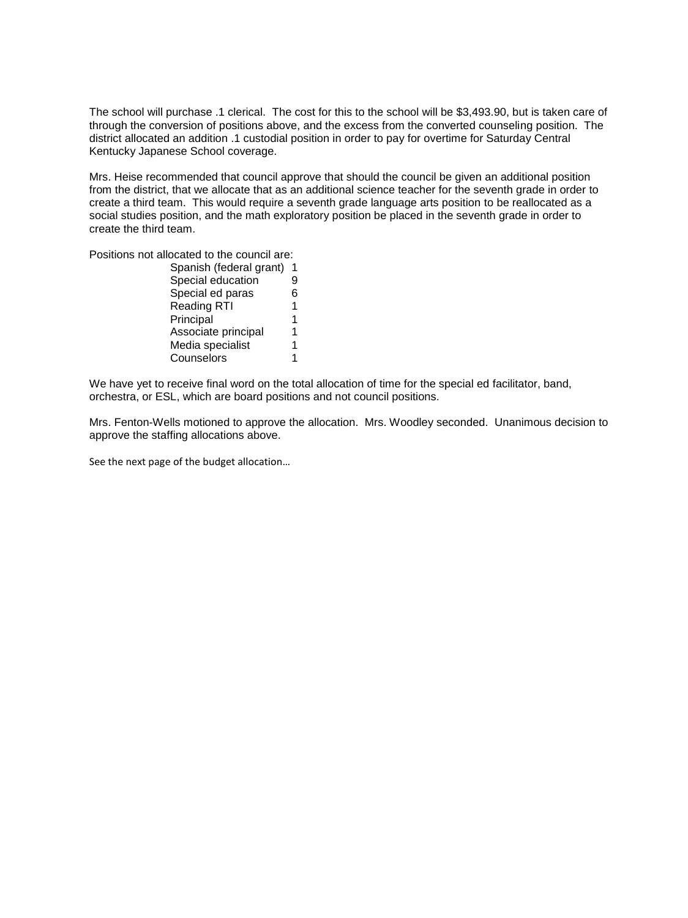The school will purchase .1 clerical. The cost for this to the school will be \$3,493.90, but is taken care of through the conversion of positions above, and the excess from the converted counseling position. The district allocated an addition .1 custodial position in order to pay for overtime for Saturday Central Kentucky Japanese School coverage.

Mrs. Heise recommended that council approve that should the council be given an additional position from the district, that we allocate that as an additional science teacher for the seventh grade in order to create a third team. This would require a seventh grade language arts position to be reallocated as a social studies position, and the math exploratory position be placed in the seventh grade in order to create the third team.

Positions not allocated to the council are:

| Spanish (federal grant) |   |
|-------------------------|---|
| Special education       |   |
| Special ed paras        |   |
| <b>Reading RTI</b>      | 1 |
| Principal               | 1 |
| Associate principal     |   |
| Media specialist        |   |
| Counselors              |   |
|                         |   |

We have yet to receive final word on the total allocation of time for the special ed facilitator, band, orchestra, or ESL, which are board positions and not council positions.

Mrs. Fenton-Wells motioned to approve the allocation. Mrs. Woodley seconded. Unanimous decision to approve the staffing allocations above.

See the next page of the budget allocation…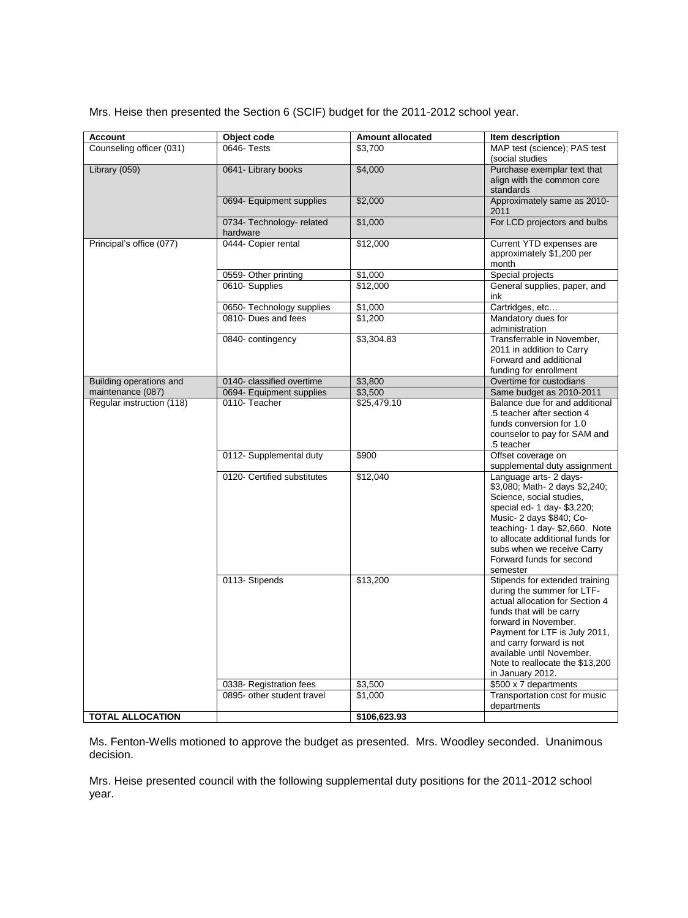Mrs. Heise then presented the Section 6 (SCIF) budget for the 2011-2012 school year.

| <b>Account</b>            | Object code                              | <b>Amount allocated</b> | Item description                                                 |
|---------------------------|------------------------------------------|-------------------------|------------------------------------------------------------------|
| Counseling officer (031)  | 0646- Tests                              | \$3,700                 | MAP test (science); PAS test                                     |
|                           |                                          |                         | (social studies                                                  |
| Library (059)             | 0641- Library books                      | \$4,000                 | Purchase exemplar text that                                      |
|                           |                                          |                         | align with the common core                                       |
|                           |                                          |                         | standards                                                        |
|                           | 0694- Equipment supplies                 | \$2,000                 | Approximately same as 2010-<br>2011                              |
|                           | 0734- Technology- related                | \$1,000                 | For LCD projectors and bulbs                                     |
|                           | hardware                                 |                         |                                                                  |
| Principal's office (077)  | 0444- Copier rental                      | \$12,000                | Current YTD expenses are                                         |
|                           |                                          |                         | approximately \$1,200 per                                        |
|                           |                                          |                         | month                                                            |
|                           | 0559- Other printing                     | \$1,000                 | Special projects                                                 |
|                           | 0610-Supplies                            | \$12,000                | General supplies, paper, and<br>ink                              |
|                           | 0650- Technology supplies                | \$1,000                 | Cartridges, etc                                                  |
|                           | 0810- Dues and fees                      | \$1,200                 | Mandatory dues for                                               |
|                           |                                          |                         | administration                                                   |
|                           | 0840- contingency                        | \$3,304.83              | Transferrable in November,                                       |
|                           |                                          |                         | 2011 in addition to Carry                                        |
|                           |                                          |                         | Forward and additional                                           |
|                           |                                          |                         | funding for enrollment                                           |
| Building operations and   | 0140- classified overtime                | \$3,800                 | Overtime for custodians                                          |
| maintenance (087)         | 0694- Equipment supplies<br>0110-Teacher | \$3,500                 | Same budget as 2010-2011                                         |
| Regular instruction (118) |                                          | \$25,479.10             | Balance due for and additional<br>.5 teacher after section 4     |
|                           |                                          |                         | funds conversion for 1.0                                         |
|                           |                                          |                         | counselor to pay for SAM and                                     |
|                           |                                          |                         | .5 teacher                                                       |
|                           | 0112- Supplemental duty                  | \$900                   | Offset coverage on                                               |
|                           |                                          |                         | supplemental duty assignment                                     |
|                           | 0120- Certified substitutes              | \$12,040                | Language arts- 2 days-                                           |
|                           |                                          |                         | \$3,080; Math- 2 days \$2,240;                                   |
|                           |                                          |                         | Science, social studies,                                         |
|                           |                                          |                         | special ed- 1 day- \$3,220;                                      |
|                           |                                          |                         | Music- 2 days \$840; Co-                                         |
|                           |                                          |                         | teaching-1 day-\$2,660. Note<br>to allocate additional funds for |
|                           |                                          |                         | subs when we receive Carry                                       |
|                           |                                          |                         | Forward funds for second                                         |
|                           |                                          |                         | semester                                                         |
|                           | 0113- Stipends                           | \$13,200                | Stipends for extended training                                   |
|                           |                                          |                         | during the summer for LTF-                                       |
|                           |                                          |                         | actual allocation for Section 4                                  |
|                           |                                          |                         | funds that will be carry                                         |
|                           |                                          |                         | forward in November.                                             |
|                           |                                          |                         | Payment for LTF is July 2011,                                    |
|                           |                                          |                         | and carry forward is not<br>available until November.            |
|                           |                                          |                         | Note to reallocate the \$13,200                                  |
|                           |                                          |                         | in January 2012.                                                 |
|                           | 0338- Registration fees                  | \$3,500                 | \$500 x 7 departments                                            |
|                           | 0895- other student travel               | \$1,000                 | Transportation cost for music                                    |
|                           |                                          |                         | departments                                                      |
| <b>TOTAL ALLOCATION</b>   |                                          | \$106,623.93            |                                                                  |

Ms. Fenton-Wells motioned to approve the budget as presented. Mrs. Woodley seconded. Unanimous decision.

Mrs. Heise presented council with the following supplemental duty positions for the 2011-2012 school year.